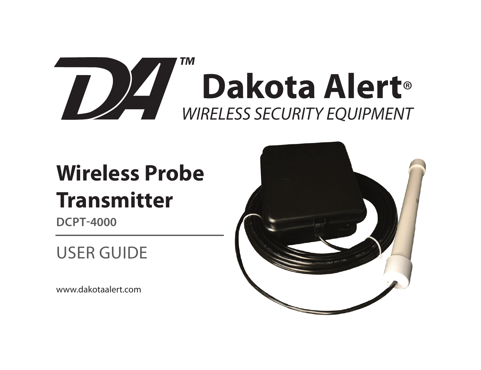

# **Wireless Probe Transmitter**

**DCPT-4000**

# USER GUIDE

www.dakotaalert.com

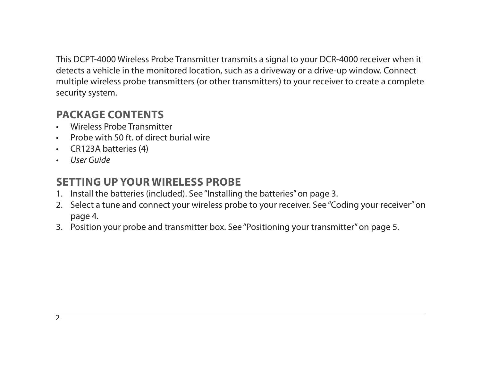This DCPT-4000 Wireless Probe Transmitter transmits a signal to your DCR-4000 receiver when it detects a vehicle in the monitored location, such as a driveway or a drive-up window. Connect multiple wireless probe transmitters (or other transmitters) to your receiver to create a complete security system.

#### **PACKAGE CONTENTS**

- Wireless Probe Transmitter
- Probe with 50 ft. of direct burial wire
- CR123A batteries (4)
- User Guide

#### **SETTING UP YOUR WIRELESS PROBE**

- 1. Install the batteries (included). See "Installing the batteries" on page 3.
- 2. Select a tune and connect your wireless probe to your receiver. See "Coding your receiver" on page 4.
- 3. Position your probe and transmitter box. See "Positioning your transmitter" on page 5.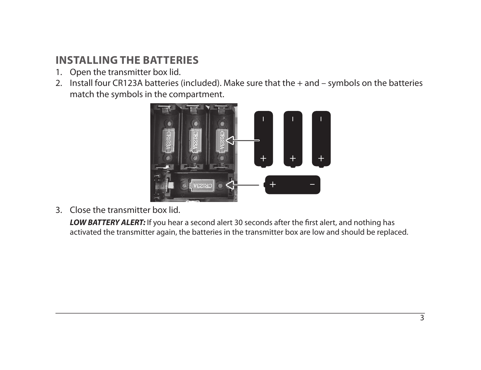### **INSTALLING THE BATTERIES**

- 1. Open the transmitter box lid.
- 2. Install four CR123A batteries (included). Make sure that the + and symbols on the batteries match the symbols in the compartment.



3. Close the transmitter box lid.

**LOW BATTERY ALERT:** If you hear a second alert 30 seconds after the first alert, and nothing has activated the transmitter again, the batteries in the transmitter box are low and should be replaced.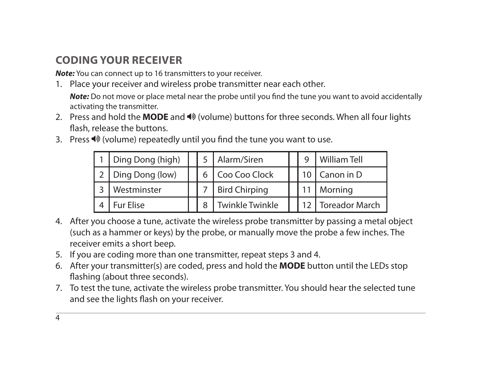# **CODING YOUR RECEIVER**

*Note:* You can connect up to 16 transmitters to your receiver.

1. Place your receiver and wireless probe transmitter near each other.

**Note:** Do not move or place metal near the probe until you find the tune you want to avoid accidentally activating the transmitter.

- 2. Press and hold the **MODE** and  $\triangleleft\%$  (volume) buttons for three seconds. When all four lights flash, release the buttons.
- 3. Press  $\blacklozenge$  (volume) repeatedly until you find the tune you want to use.

| Ding Dong (high) |  | Alarm/Siren            |  | <b>William Tell</b>   |
|------------------|--|------------------------|--|-----------------------|
| Ding Dong (low)  |  | Coo Coo Clock          |  | 10   Canon in D       |
| Westminster      |  | <b>Bird Chirping</b>   |  | 11   Morning          |
| <b>Fur Elise</b> |  | <b>Twinkle Twinkle</b> |  | <b>Toreador March</b> |

- 4. After you choose a tune, activate the wireless probe transmitter by passing a metal object (such as a hammer or keys) by the probe, or manually move the probe a few inches. The receiver emits a short beep.
- 5. If you are coding more than one transmitter, repeat steps 3 and 4.
- 6. After your transmitter(s) are coded, press and hold the **MODE** button until the LEDs stop flashing (about three seconds).
- 7. To test the tune, activate the wireless probe transmitter. You should hear the selected tune and see the lights flash on your receiver.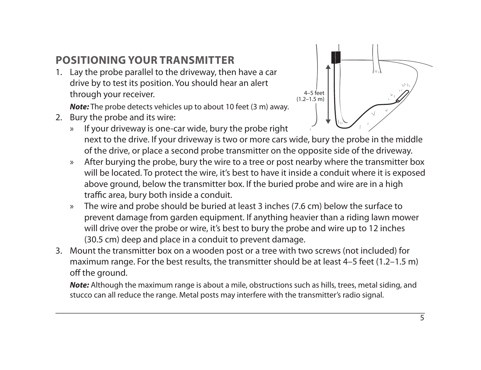# **POSITIONING YOUR TRANSMITTER**

1. Lay the probe parallel to the driveway, then have a car drive by to test its position. You should hear an alert through your receiver.

*Note:* The probe detects vehicles up to about 10 feet (3 m) away.

2. Bury the probe and its wire:



- » If your driveway is one-car wide, bury the probe right next to the drive. If your driveway is two or more cars wide, bury the probe in the middle of the drive, or place a second probe transmitter on the opposite side of the driveway.
- » After burying the probe, bury the wire to a tree or post nearby where the transmitter box will be located. To protect the wire, it's best to have it inside a conduit where it is exposed above ground, below the transmitter box. If the buried probe and wire are in a high traffic area, bury both inside a conduit.
- » The wire and probe should be buried at least 3 inches (7.6 cm) below the surface to prevent damage from garden equipment. If anything heavier than a riding lawn mower will drive over the probe or wire, it's best to bury the probe and wire up to 12 inches (30.5 cm) deep and place in a conduit to prevent damage.
- 3. Mount the transmitter box on a wooden post or a tree with two screws (not included) for maximum range. For the best results, the transmitter should be at least 4–5 feet (1.2–1.5 m) off the ground.

*Note:* Although the maximum range is about a mile, obstructions such as hills, trees, metal siding, and stucco can all reduce the range. Metal posts may interfere with the transmitter's radio signal.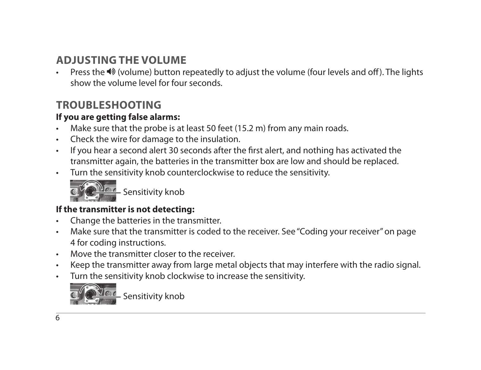### **ADJUSTING THE VOLUME**

Press the (volume) button repeatedly to adjust the volume (four levels and off). The lights show the volume level for four seconds.

#### **TROUBLESHOOTING**

#### **If you are getting false alarms:**

- Make sure that the probe is at least 50 feet (15.2 m) from any main roads.
- Check the wire for damage to the insulation.
- If you hear a second alert 30 seconds after the first alert, and nothing has activated the transmitter again, the batteries in the transmitter box are low and should be replaced.
- Turn the sensitivity knob counterclockwise to reduce the sensitivity.



**Sensitivity knob** 

#### **If the transmitter is not detecting:**

- Change the batteries in the transmitter.
- Make sure that the transmitter is coded to the receiver. See "Coding your receiver" on page 4 for coding instructions.
- Move the transmitter closer to the receiver.
- Keep the transmitter away from large metal objects that may interfere with the radio signal.
- Turn the sensitivity knob clockwise to increase the sensitivity.



Sensitivity knob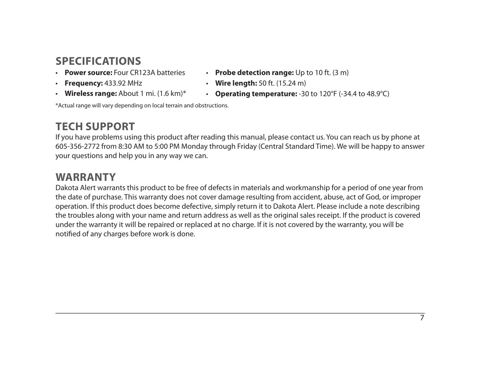#### **SPECIFICATIONS**

- **Power source:** Four CR123A batteries
- **Frequency:** 433.92 MHz
- **Wireless range:** About 1 mi. (1.6 km)\*

\*Actual range will vary depending on local terrain and obstructions.

#### **TECH SUPPORT**

- **Probe detection range:** Up to 10 ft. (3 m)
- **Wire length:** 50 ft. (15.24 m)
- **Operating temperature:** -30 to 120°F (-34.4 to 48.9°C)

If you have problems using this product after reading this manual, please contact us. You can reach us by phone at 605-356-2772 from 8:30 AM to 5:00 PM Monday through Friday (Central Standard Time). We will be happy to answer your questions and help you in any way we can.

#### **WARRANTY**

Dakota Alert warrants this product to be free of defects in materials and workmanship for a period of one year from the date of purchase. This warranty does not cover damage resulting from accident, abuse, act of God, or improper operation. If this product does become defective, simply return it to Dakota Alert. Please include a note describing the troubles along with your name and return address as well as the original sales receipt. If the product is covered under the warranty it will be repaired or replaced at no charge. If it is not covered by the warranty, you will be notified of any charges before work is done.